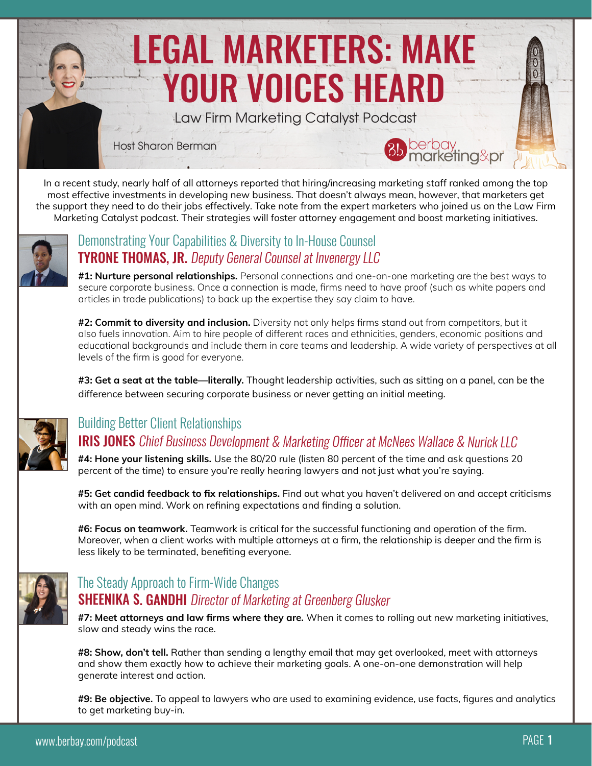# LEGAL MARKETERS: MAKE YOUR VOICES HEARD Host Sharon Berman Law Firm Marketing Catalyst Podcast

In a recent study, nearly half of all attorneys reported that hiring/increasing marketing staff ranked among the top most effective investments in developing new business. That doesn't always mean, however, that marketers get the support they need to do their jobs effectively. Take note from the expert marketers who joined us on the Law Firm Marketing Catalyst podcast. Their strategies will foster attorney engagement and boost marketing initiatives.



#### [Demonstrating Your Capabilities & Diversity to In-House Counsel](http://bit.ly/LFMCPtyrone) TYRONE THOMAS, JR. Deputy General Counsel at Invenergy LLC

**#1: Nurture personal relationships.** Personal connections and one-on-one marketing are the best ways to secure corporate business. Once a connection is made, firms need to have proof (such as white papers and articles in trade publications) to back up the expertise they say claim to have.

**#2: Commit to diversity and inclusion.** Diversity not only helps firms stand out from competitors, but it also fuels innovation. Aim to hire people of different races and ethnicities, genders, economic positions and educational backgrounds and include them in core teams and leadership. A wide variety of perspectives at all levels of the firm is good for everyone.

**#3: Get a seat at the table—literally.** Thought leadership activities, such as sitting on a panel, can be the difference between securing corporate business or never getting an initial meeting.



#### [Building Better Client Relationships](http://bit.ly/LFMCPiris) **IRIS JONES** Chief Business Development & Marketing Officer at McNees Wallace & Nurick LLC

**#4: Hone your listening skills.** Use the 80/20 rule (listen 80 percent of the time and ask questions 20 percent of the time) to ensure you're really hearing lawyers and not just what you're saying.

**#5: Get candid feedback to fix relationships.** Find out what you haven't delivered on and accept criticisms with an open mind. Work on refining expectations and finding a solution.

**#6: Focus on teamwork.** Teamwork is critical for the successful functioning and operation of the firm. Moreover, when a client works with multiple attorneys at a firm, the relationship is deeper and the firm is less likely to be terminated, benefiting everyone.



### **SHEENIKA S. GANDHI** Director of Marketing at Greenberg Glusker [The Steady Approach to Firm-Wide Changes](http://bit.ly/LFMCsheenika)

**#7: Meet attorneys and law firms where they are.** When it comes to rolling out new marketing initiatives, slow and steady wins the race.

**#8: Show, don't tell.** Rather than sending a lengthy email that may get overlooked, meet with attorneys and show them exactly how to achieve their marketing goals. A one-on-one demonstration will help generate interest and action.

**#9: Be objective.** To appeal to lawyers who are used to examining evidence, use facts, figures and analytics to get marketing buy-in.